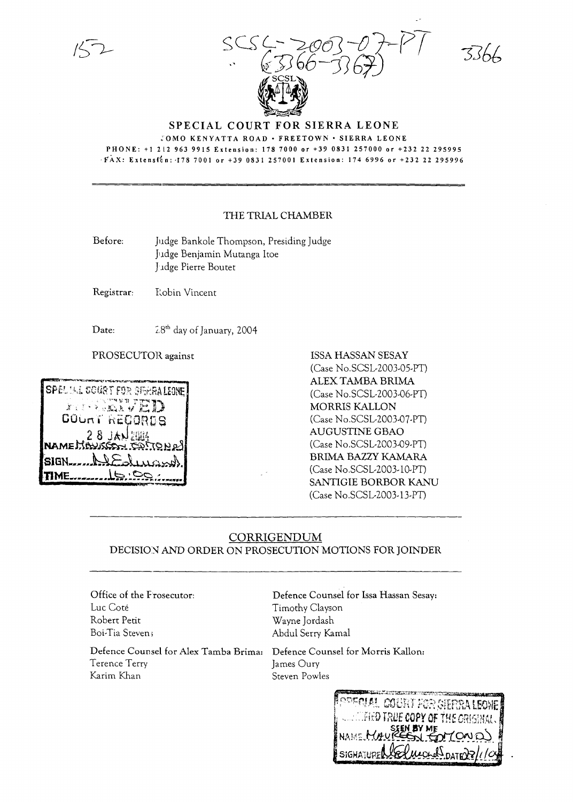SCS (-- 2003 -07 - PT  $.$   $(366-367)$ 

 $3366$ 

**SPECIAL COURT FOR SIERRA LEONE**

:OMO KENYATTA ROAD· FREETOWN· SIERRA LEONE PHONE: +1212 963 9915 Extension: 1787000 or +39 0831 257000 or +232 22 295995 -FAX: Extensf'on: ·1787001 or +39 0831257001 Extension: 174 6996 or +232 22 295996

## THE TRIAL CHAMBER

Before: Judge Bankole Thompson, Presiding Judge }ldge Benjamin Mutanga ltoe ]Jdge Pierre Boutet

Registrar: Robin Vincent

Date:

 $2.8$ <sup>th</sup> day of January, 2004



PROSECUTOR against **ISSA HASSAN SESAY** (Case No.SCSL-2003-0S-PT) ALEX TAMBA BRIMA (Case No.SCSL-2003-06-PT) MORRIS KALLON (Case No.SCSL-2003-07-PT) AUGUSTINE GBAO (Case No.SCSL-2003-09-PT) BRlMA BAZZY KAMARA (Case No.SCSL-2003-l0-PT) SANTIGIE BORBOR KANU (Case No.SCSL-2003-13-PT)

## CORRIGENDUM DECISION AND ORDER ON PROSECUTION MOTIONS FOR JOINDER

Office of the Frosecutor: Luc Cote Robert Petit Boi-Tia Steven;

Defence Counsel for Alex Tamba Brima: Defence Counsel for Morris Kallon: Terence Terry James Oury Karim Khan Steven Powles

Defence Counsel for lssa Hassan Sesay: Timothy Clayson Wayne Jordash Abdul Serry Kamal